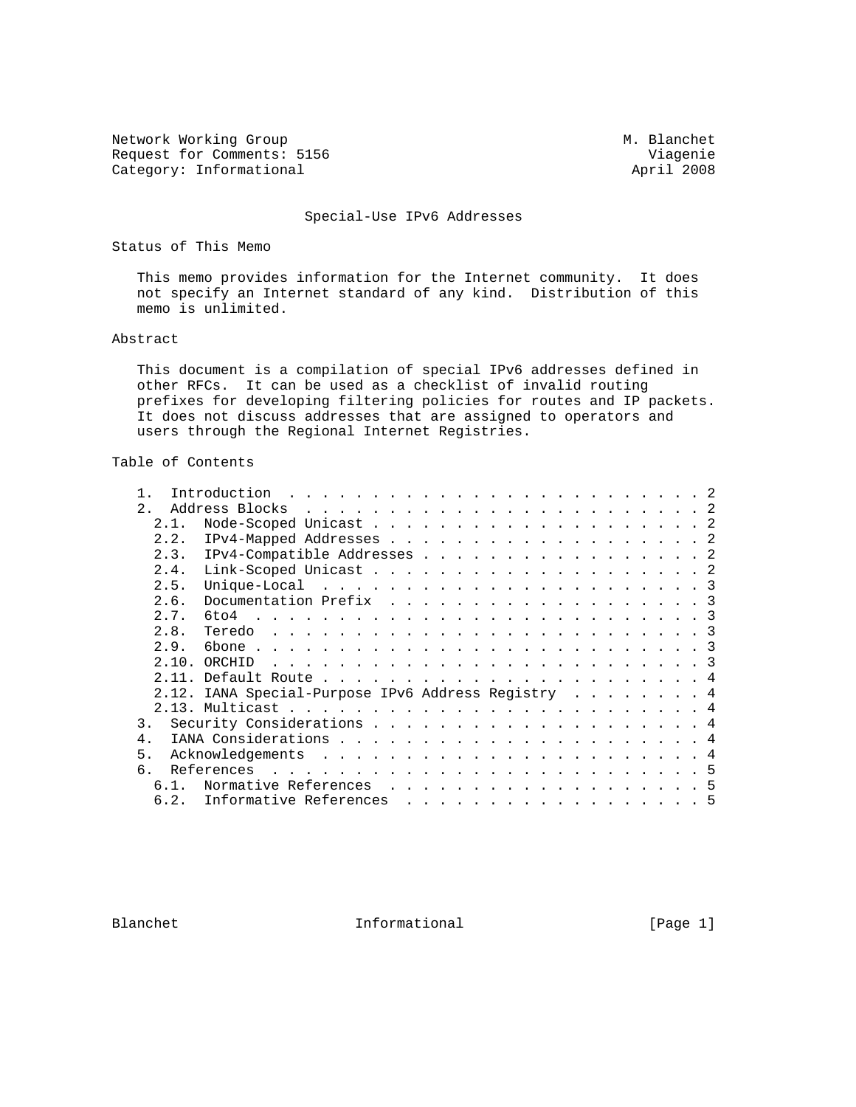Network Working Group Methods and M. Blanchet Request for Comments: 5156 Viagenie<br>
Category: Informational (2008) 2008 Category: Informational

#### Special-Use IPv6 Addresses

Status of This Memo

 This memo provides information for the Internet community. It does not specify an Internet standard of any kind. Distribution of this memo is unlimited.

### Abstract

 This document is a compilation of special IPv6 addresses defined in other RFCs. It can be used as a checklist of invalid routing prefixes for developing filtering policies for routes and IP packets. It does not discuss addresses that are assigned to operators and users through the Regional Internet Registries.

# Table of Contents

| $\mathcal{D}$    |                                                    |  |
|------------------|----------------------------------------------------|--|
| 2.1.             |                                                    |  |
| 2.2.             |                                                    |  |
| 2.3.             | IPv4-Compatible Addresses 2                        |  |
| 2.4.             |                                                    |  |
| 2.5.             |                                                    |  |
| 2.6.             | Documentation Prefix 3                             |  |
| 2.7.             |                                                    |  |
| 2.8.             |                                                    |  |
| 2.9.             |                                                    |  |
| 2.10.            |                                                    |  |
|                  |                                                    |  |
|                  | 2.12. IANA Special-Purpose IPv6 Address Registry 4 |  |
|                  |                                                    |  |
| $\overline{3}$ . |                                                    |  |
| 4                |                                                    |  |
| 5.               |                                                    |  |
| б.               |                                                    |  |
| $6.1$ .          | Normative References 5                             |  |
| 6.2.             | Informative References 5                           |  |

Blanchet 10 Informational [Page 1]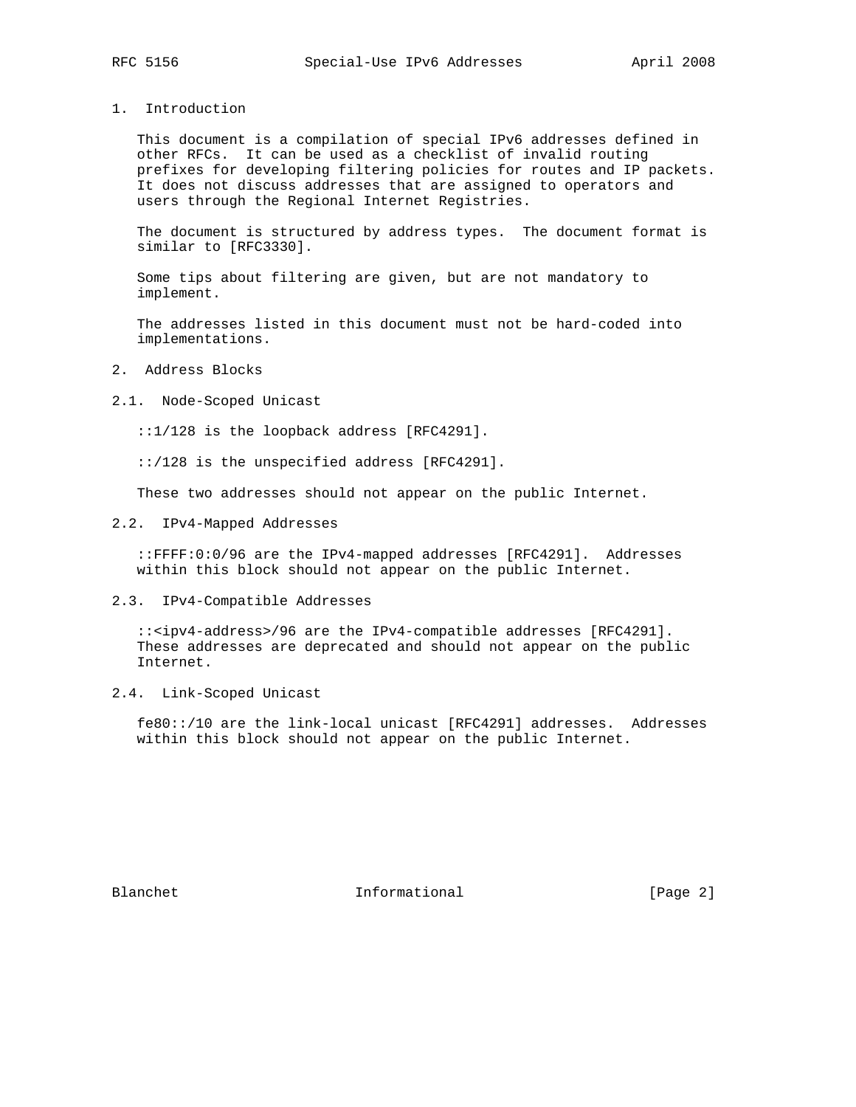1. Introduction

 This document is a compilation of special IPv6 addresses defined in other RFCs. It can be used as a checklist of invalid routing prefixes for developing filtering policies for routes and IP packets. It does not discuss addresses that are assigned to operators and users through the Regional Internet Registries.

 The document is structured by address types. The document format is similar to [RFC3330].

 Some tips about filtering are given, but are not mandatory to implement.

 The addresses listed in this document must not be hard-coded into implementations.

- 2. Address Blocks
- 2.1. Node-Scoped Unicast

::1/128 is the loopback address [RFC4291].

::/128 is the unspecified address [RFC4291].

These two addresses should not appear on the public Internet.

2.2. IPv4-Mapped Addresses

 ::FFFF:0:0/96 are the IPv4-mapped addresses [RFC4291]. Addresses within this block should not appear on the public Internet.

2.3. IPv4-Compatible Addresses

 ::<ipv4-address>/96 are the IPv4-compatible addresses [RFC4291]. These addresses are deprecated and should not appear on the public Internet.

2.4. Link-Scoped Unicast

 fe80::/10 are the link-local unicast [RFC4291] addresses. Addresses within this block should not appear on the public Internet.

Blanchet 1nformational [Page 2]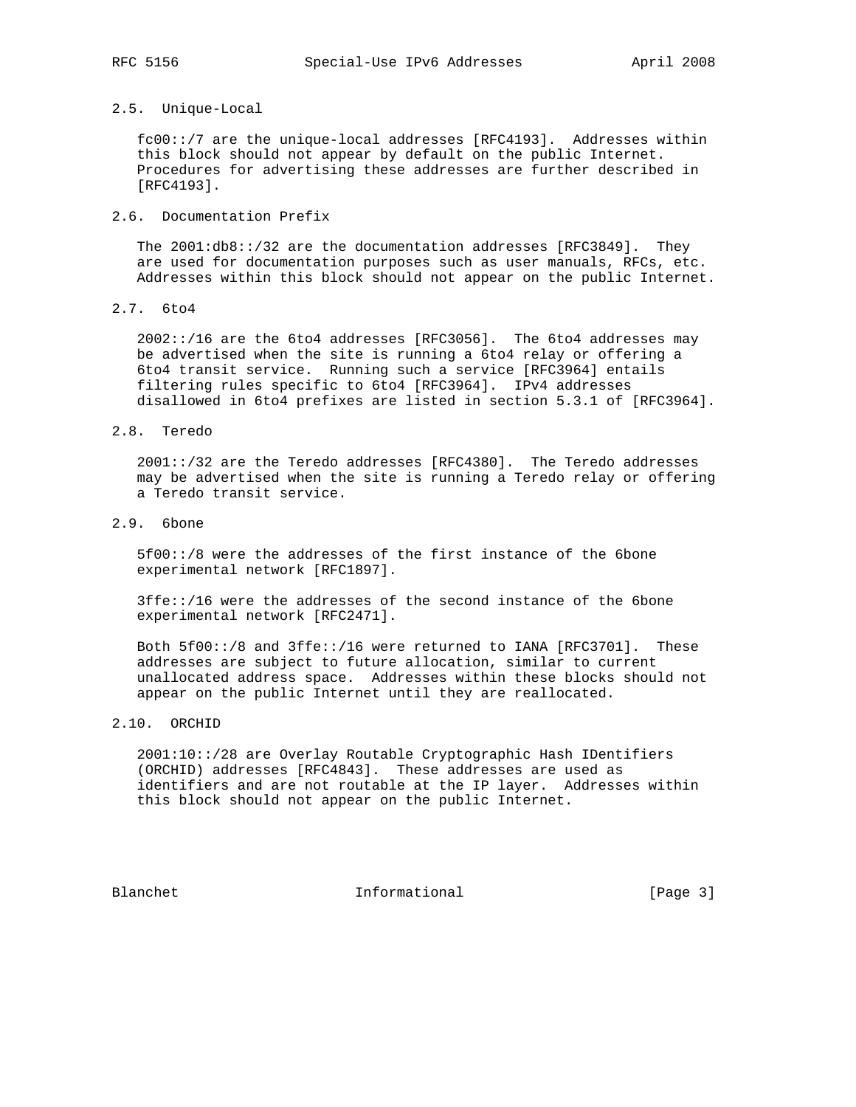## 2.5. Unique-Local

 fc00::/7 are the unique-local addresses [RFC4193]. Addresses within this block should not appear by default on the public Internet. Procedures for advertising these addresses are further described in [RFC4193].

## 2.6. Documentation Prefix

 The 2001:db8::/32 are the documentation addresses [RFC3849]. They are used for documentation purposes such as user manuals, RFCs, etc. Addresses within this block should not appear on the public Internet.

2.7. 6to4

 2002::/16 are the 6to4 addresses [RFC3056]. The 6to4 addresses may be advertised when the site is running a 6to4 relay or offering a 6to4 transit service. Running such a service [RFC3964] entails filtering rules specific to 6to4 [RFC3964]. IPv4 addresses disallowed in 6to4 prefixes are listed in section 5.3.1 of [RFC3964].

### 2.8. Teredo

 2001::/32 are the Teredo addresses [RFC4380]. The Teredo addresses may be advertised when the site is running a Teredo relay or offering a Teredo transit service.

# 2.9. 6bone

 5f00::/8 were the addresses of the first instance of the 6bone experimental network [RFC1897].

 3ffe::/16 were the addresses of the second instance of the 6bone experimental network [RFC2471].

 Both 5f00::/8 and 3ffe::/16 were returned to IANA [RFC3701]. These addresses are subject to future allocation, similar to current unallocated address space. Addresses within these blocks should not appear on the public Internet until they are reallocated.

# 2.10. ORCHID

 2001:10::/28 are Overlay Routable Cryptographic Hash IDentifiers (ORCHID) addresses [RFC4843]. These addresses are used as identifiers and are not routable at the IP layer. Addresses within this block should not appear on the public Internet.

Blanchet 1nformational [Page 3]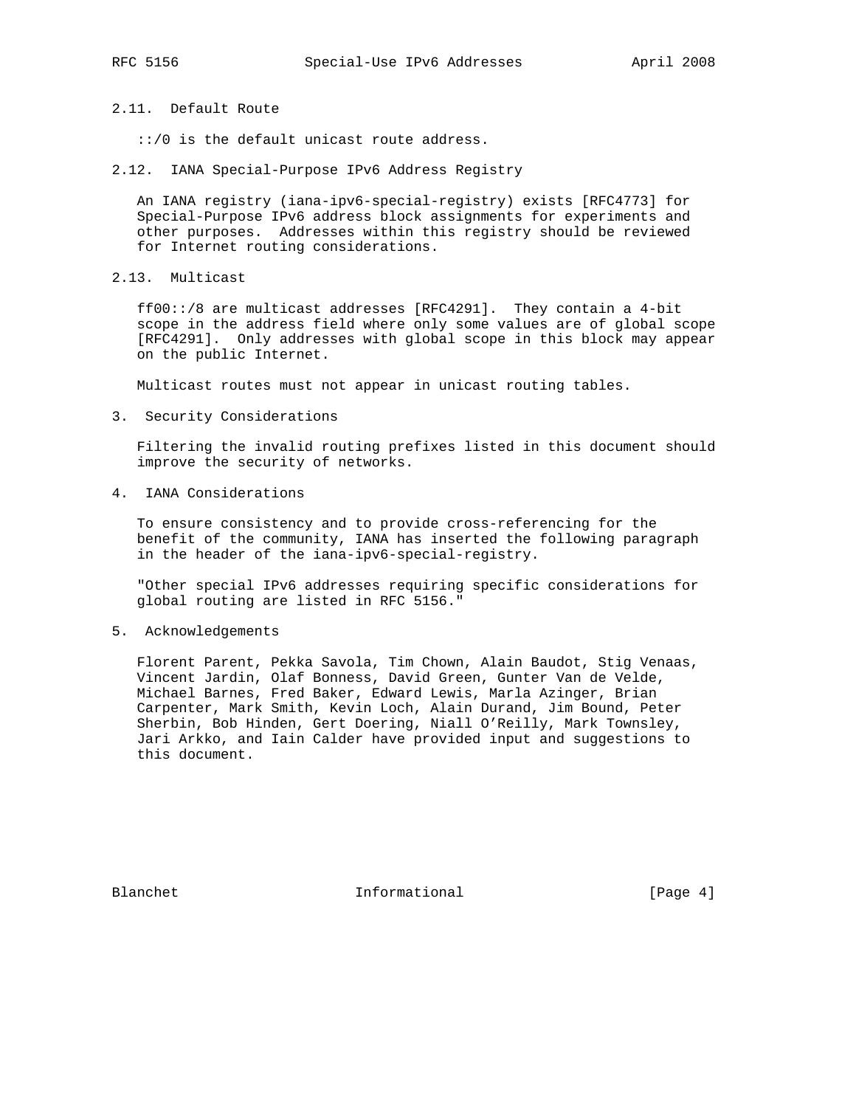2.11. Default Route

::/0 is the default unicast route address.

2.12. IANA Special-Purpose IPv6 Address Registry

 An IANA registry (iana-ipv6-special-registry) exists [RFC4773] for Special-Purpose IPv6 address block assignments for experiments and other purposes. Addresses within this registry should be reviewed for Internet routing considerations.

2.13. Multicast

 ff00::/8 are multicast addresses [RFC4291]. They contain a 4-bit scope in the address field where only some values are of global scope [RFC4291]. Only addresses with global scope in this block may appear on the public Internet.

Multicast routes must not appear in unicast routing tables.

3. Security Considerations

 Filtering the invalid routing prefixes listed in this document should improve the security of networks.

4. IANA Considerations

 To ensure consistency and to provide cross-referencing for the benefit of the community, IANA has inserted the following paragraph in the header of the iana-ipv6-special-registry.

 "Other special IPv6 addresses requiring specific considerations for global routing are listed in RFC 5156."

5. Acknowledgements

 Florent Parent, Pekka Savola, Tim Chown, Alain Baudot, Stig Venaas, Vincent Jardin, Olaf Bonness, David Green, Gunter Van de Velde, Michael Barnes, Fred Baker, Edward Lewis, Marla Azinger, Brian Carpenter, Mark Smith, Kevin Loch, Alain Durand, Jim Bound, Peter Sherbin, Bob Hinden, Gert Doering, Niall O'Reilly, Mark Townsley, Jari Arkko, and Iain Calder have provided input and suggestions to this document.

Blanchet 1nformational [Page 4]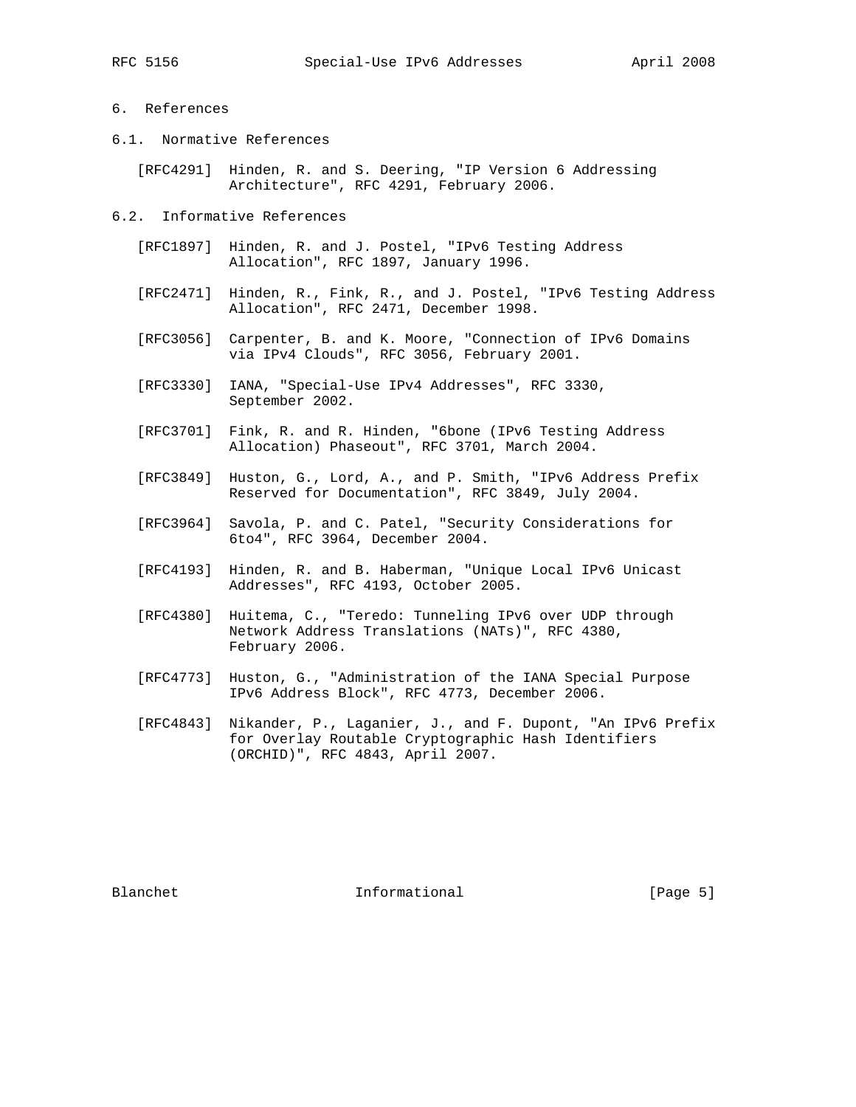# 6. References

- 6.1. Normative References
	- [RFC4291] Hinden, R. and S. Deering, "IP Version 6 Addressing Architecture", RFC 4291, February 2006.
- 6.2. Informative References
	- [RFC1897] Hinden, R. and J. Postel, "IPv6 Testing Address Allocation", RFC 1897, January 1996.
	- [RFC2471] Hinden, R., Fink, R., and J. Postel, "IPv6 Testing Address Allocation", RFC 2471, December 1998.
	- [RFC3056] Carpenter, B. and K. Moore, "Connection of IPv6 Domains via IPv4 Clouds", RFC 3056, February 2001.
	- [RFC3330] IANA, "Special-Use IPv4 Addresses", RFC 3330, September 2002.
	- [RFC3701] Fink, R. and R. Hinden, "6bone (IPv6 Testing Address Allocation) Phaseout", RFC 3701, March 2004.
	- [RFC3849] Huston, G., Lord, A., and P. Smith, "IPv6 Address Prefix Reserved for Documentation", RFC 3849, July 2004.
	- [RFC3964] Savola, P. and C. Patel, "Security Considerations for 6to4", RFC 3964, December 2004.
	- [RFC4193] Hinden, R. and B. Haberman, "Unique Local IPv6 Unicast Addresses", RFC 4193, October 2005.
	- [RFC4380] Huitema, C., "Teredo: Tunneling IPv6 over UDP through Network Address Translations (NATs)", RFC 4380, February 2006.
	- [RFC4773] Huston, G., "Administration of the IANA Special Purpose IPv6 Address Block", RFC 4773, December 2006.
	- [RFC4843] Nikander, P., Laganier, J., and F. Dupont, "An IPv6 Prefix for Overlay Routable Cryptographic Hash Identifiers (ORCHID)", RFC 4843, April 2007.

Blanchet 1nformational [Page 5]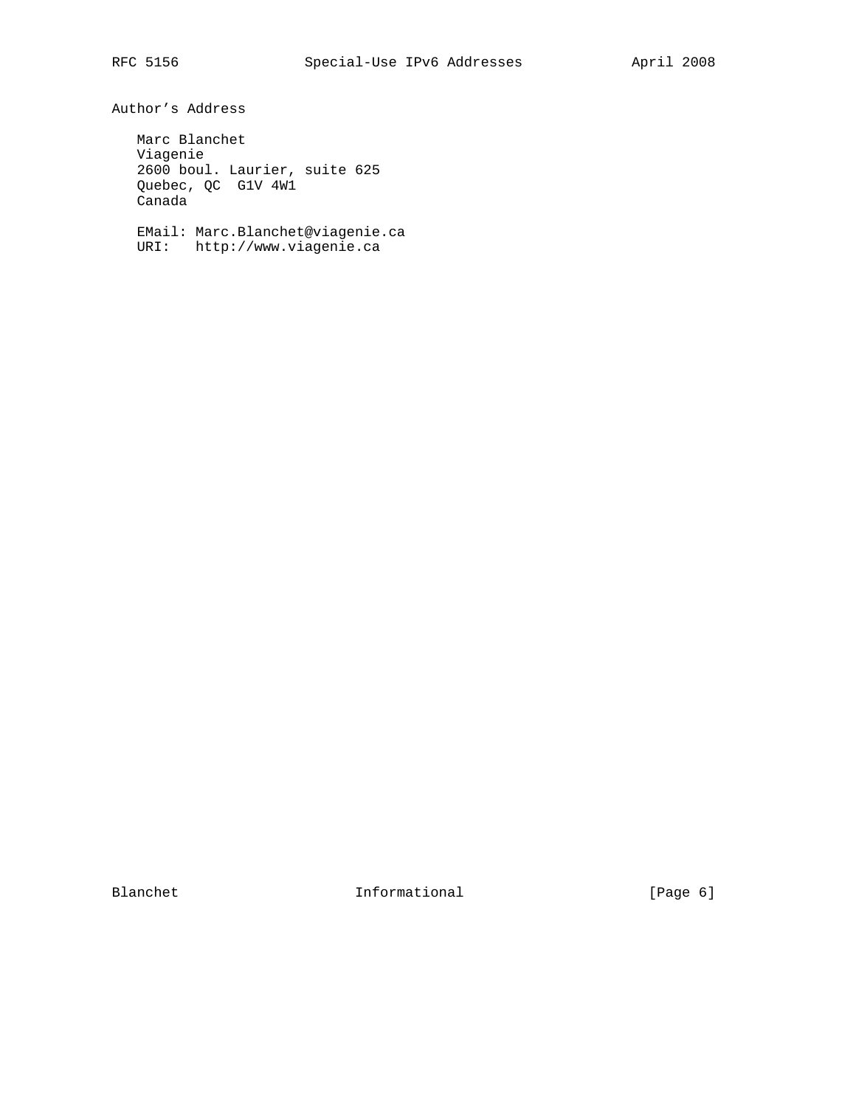Author's Address

 Marc Blanchet Viagenie 2600 boul. Laurier, suite 625 Quebec, QC G1V 4W1 Canada

 EMail: Marc.Blanchet@viagenie.ca URI: http://www.viagenie.ca

Blanchet Informational [Page 6]